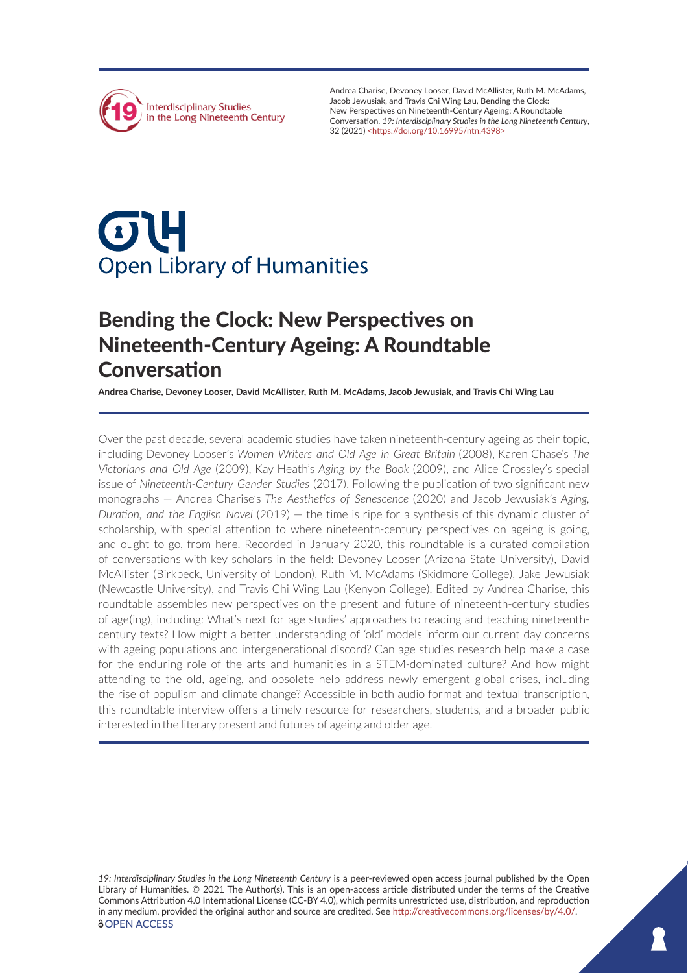

Andrea Charise, Devoney Looser, David McAllister, Ruth M. McAdams, Jacob Jewusiak, and Travis Chi Wing Lau, Bending the Clock: New Perspectives on Nineteenth-Century Ageing: A Roundtable Conversation. *19: Interdisciplinary Studies in the Long Nineteenth Century*, 32 (2021) <<https://doi.org/10.16995/ntn.4398>>

# $\sigma$ **Open Library of Humanities**

# Bending the Clock: New Perspectives on Nineteenth-Century Ageing: A Roundtable Conversation

**Andrea Charise, Devoney Looser, David McAllister, Ruth M. McAdams, Jacob Jewusiak, and Travis Chi Wing Lau**

Over the past decade, several academic studies have taken nineteenth-century ageing as their topic, including Devoney Looser's *Women Writers and Old Age in Great Britain* (2008), Karen Chase's *The Victorians and Old Age* (2009), Kay Heath's *Aging by the Book* (2009), and Alice Crossley's special issue of *Nineteenth-Century Gender Studies* (2017). Following the publication of two significant new monographs — Andrea Charise's *The Aesthetics of Senescence* (2020) and Jacob Jewusiak's *Aging, Duration, and the English Novel* (2019) — the time is ripe for a synthesis of this dynamic cluster of scholarship, with special attention to where nineteenth-century perspectives on ageing is going, and ought to go, from here. Recorded in January 2020, this roundtable is a curated compilation of conversations with key scholars in the field: Devoney Looser (Arizona State University), David McAllister (Birkbeck, University of London), Ruth M. McAdams (Skidmore College), Jake Jewusiak (Newcastle University), and Travis Chi Wing Lau (Kenyon College). Edited by Andrea Charise, this roundtable assembles new perspectives on the present and future of nineteenth-century studies of age(ing), including: What's next for age studies' approaches to reading and teaching nineteenthcentury texts? How might a better understanding of 'old' models inform our current day concerns with ageing populations and intergenerational discord? Can age studies research help make a case for the enduring role of the arts and humanities in a STEM-dominated culture? And how might attending to the old, ageing, and obsolete help address newly emergent global crises, including the rise of populism and climate change? Accessible in both audio format and textual transcription, this roundtable interview offers a timely resource for researchers, students, and a broader public interested in the literary present and futures of ageing and older age.

*19: Interdisciplinary Studies in the Long Nineteenth Century* is a peer-reviewed open access journal published by the Open Library of Humanities. © 2021 The Author(s). This is an open-access article distributed under the terms of the Creative Commons Attribution 4.0 International License (CC-BY 4.0), which permits unrestricted use, distribution, and reproduction in any medium, provided the original author and source are credited. See [http://creativecommons.org/licenses/by/4.0/.](http://creativecommons.org/licenses/by/4.0/) *<u>OOPEN ACCESS</u>*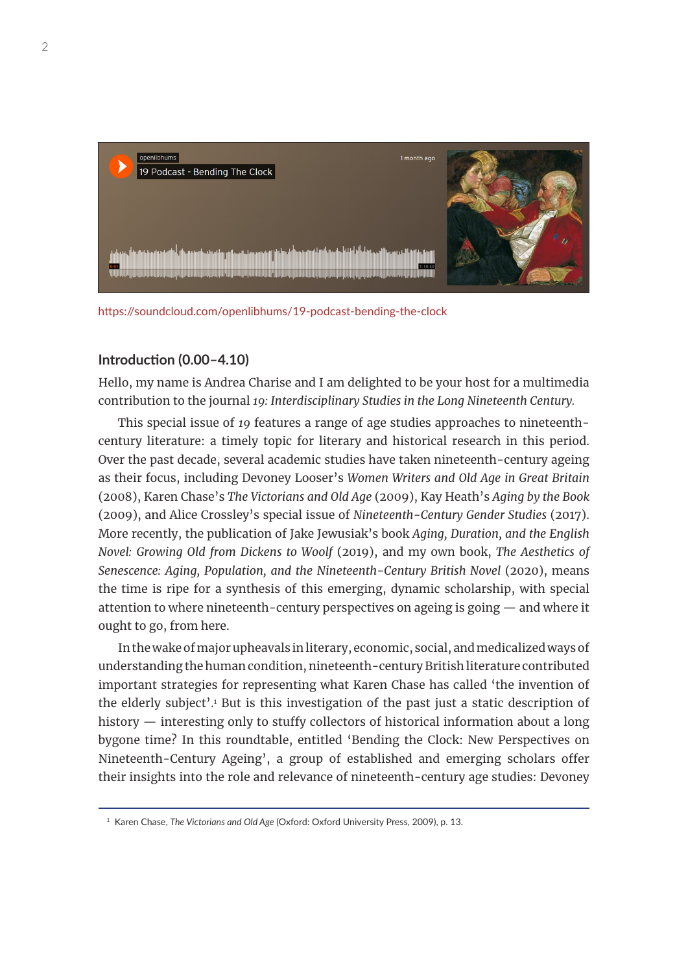

<https://soundcloud.com/openlibhums/19-podcast-bending-the-clock>

# **Introduction (0.00–4.10)**

Hello, my name is Andrea Charise and I am delighted to be your host for a multimedia contribution to the journal *19: Interdisciplinary Studies in the Long Nineteenth Century.*

This special issue of *19* features a range of age studies approaches to nineteenthcentury literature: a timely topic for literary and historical research in this period. Over the past decade, several academic studies have taken nineteenth-century ageing as their focus, including Devoney Looser's *Women Writers and Old Age in Great Britain*  (2008), Karen Chase's *The Victorians and Old Age* (2009), Kay Heath's *Aging by the Book* (2009), and Alice Crossley's special issue of *Nineteenth-Century Gender Studies* (2017). More recently, the publication of Jake Jewusiak's book *Aging, Duration, and the English Novel: Growing Old from Dickens to Woolf* (2019), and my own book, *The Aesthetics of Senescence: Aging, Population, and the Nineteenth-Century British Novel (2020), means* the time is ripe for a synthesis of this emerging, dynamic scholarship, with special attention to where nineteenth-century perspectives on ageing is going — and where it ought to go, from here.

In the wake of major upheavals in literary, economic, social, and medicalized ways of understanding the human condition, nineteenth-century British literature contributed important strategies for representing what Karen Chase has called 'the invention of the elderly subject'.<sup>1</sup> But is this investigation of the past just a static description of history — interesting only to stuffy collectors of historical information about a long bygone time? In this roundtable, entitled 'Bending the Clock: New Perspectives on Nineteenth-Century Ageing', a group of established and emerging scholars offer their insights into the role and relevance of nineteenth-century age studies: Devoney

<sup>1</sup> Karen Chase, *The Victorians and Old Age* (Oxford: Oxford University Press, 2009), p. 13.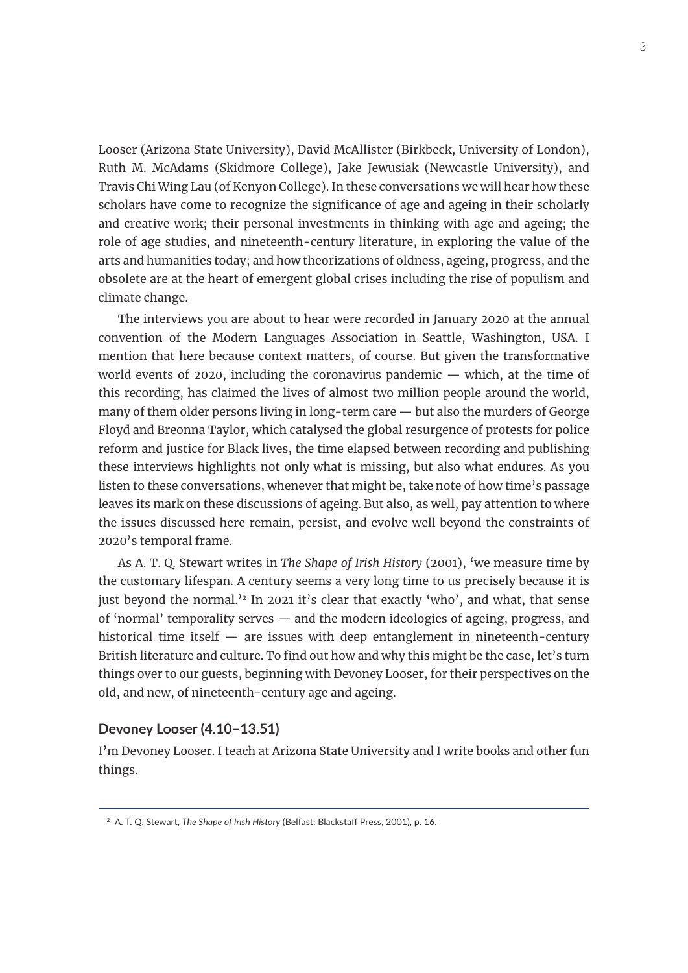Looser (Arizona State University), David McAllister (Birkbeck, University of London), Ruth M. McAdams (Skidmore College), Jake Jewusiak (Newcastle University), and Travis Chi Wing Lau (of Kenyon College). In these conversations we will hear how these scholars have come to recognize the significance of age and ageing in their scholarly and creative work; their personal investments in thinking with age and ageing; the role of age studies, and nineteenth-century literature, in exploring the value of the arts and humanities today; and how theorizations of oldness, ageing, progress, and the obsolete are at the heart of emergent global crises including the rise of populism and climate change.

The interviews you are about to hear were recorded in January 2020 at the annual convention of the Modern Languages Association in Seattle, Washington, USA. I mention that here because context matters, of course. But given the transformative world events of 2020, including the coronavirus pandemic  $-$  which, at the time of this recording, has claimed the lives of almost two million people around the world, many of them older persons living in long-term care — but also the murders of George Floyd and Breonna Taylor, which catalysed the global resurgence of protests for police reform and justice for Black lives, the time elapsed between recording and publishing these interviews highlights not only what is missing, but also what endures. As you listen to these conversations, whenever that might be, take note of how time's passage leaves its mark on these discussions of ageing. But also, as well, pay attention to where the issues discussed here remain, persist, and evolve well beyond the constraints of 2020's temporal frame.

As A. T. Q. Stewart writes in *The Shape of Irish History* (2001), 'we measure time by the customary lifespan. A century seems a very long time to us precisely because it is just beyond the normal.<sup>32</sup> In 2021 it's clear that exactly 'who', and what, that sense of 'normal' temporality serves — and the modern ideologies of ageing, progress, and historical time itself — are issues with deep entanglement in nineteenth-century British literature and culture. To find out how and why this might be the case, let's turn things over to our guests, beginning with Devoney Looser, for their perspectives on the old, and new, of nineteenth-century age and ageing.

# **Devoney Looser (4.10–13.51)**

I'm Devoney Looser. I teach at Arizona State University and I write books and other fun things.

<sup>2</sup> A. T. Q. Stewart, *The Shape of Irish History* (Belfast: Blackstaff Press, 2001), p. 16.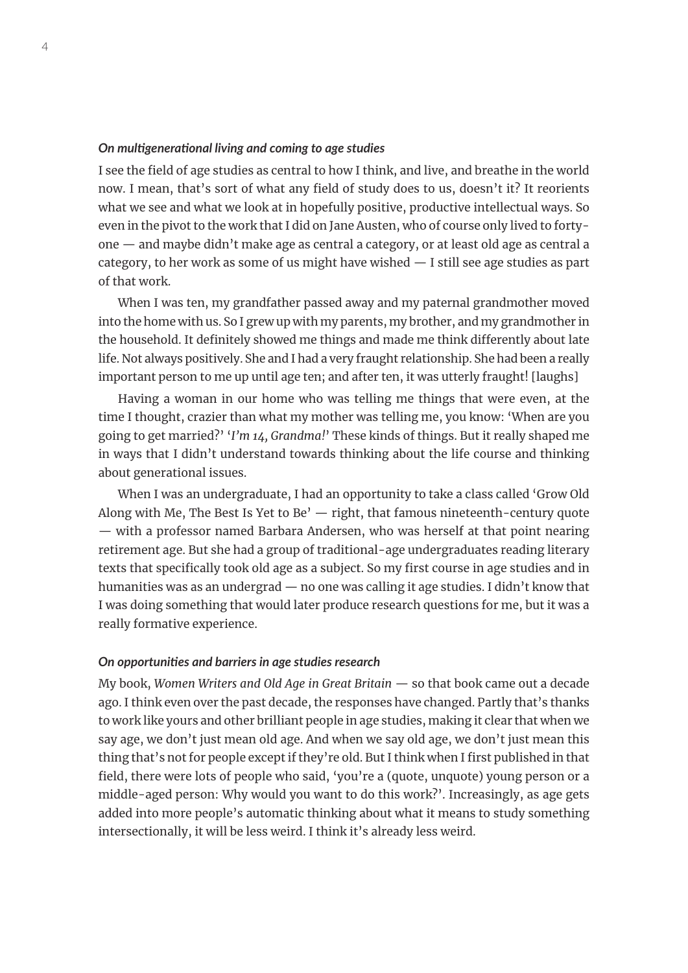# *On multigenerational living and coming to age studies*

I see the field of age studies as central to how I think, and live, and breathe in the world now. I mean, that's sort of what any field of study does to us, doesn't it? It reorients what we see and what we look at in hopefully positive, productive intellectual ways. So even in the pivot to the work that I did on Jane Austen, who of course only lived to fortyone — and maybe didn't make age as central a category, or at least old age as central a category, to her work as some of us might have wished — I still see age studies as part of that work.

When I was ten, my grandfather passed away and my paternal grandmother moved into the home with us. So I grew up with my parents, my brother, and my grandmother in the household. It definitely showed me things and made me think differently about late life. Not always positively. She and I had a very fraught relationship. She had been a really important person to me up until age ten; and after ten, it was utterly fraught! [laughs]

Having a woman in our home who was telling me things that were even, at the time I thought, crazier than what my mother was telling me, you know: 'When are you going to get married?' '*I'm 14, Grandma!*' These kinds of things. But it really shaped me in ways that I didn't understand towards thinking about the life course and thinking about generational issues.

When I was an undergraduate, I had an opportunity to take a class called 'Grow Old Along with Me, The Best Is Yet to Be'  $-$  right, that famous nineteenth-century quote — with a professor named Barbara Andersen, who was herself at that point nearing retirement age. But she had a group of traditional-age undergraduates reading literary texts that specifically took old age as a subject. So my first course in age studies and in humanities was as an undergrad — no one was calling it age studies. I didn't know that I was doing something that would later produce research questions for me, but it was a really formative experience.

#### *On opportunities and barriers in age studies research*

My book, *Women Writers and Old Age in Great Britain* — so that book came out a decade ago. I think even over the past decade, the responses have changed. Partly that's thanks to work like yours and other brilliant people in age studies, making it clear that when we say age, we don't just mean old age. And when we say old age, we don't just mean this thing that's not for people except if they're old. But I think when I first published in that field, there were lots of people who said, 'you're a (quote, unquote) young person or a middle-aged person: Why would you want to do this work?'. Increasingly, as age gets added into more people's automatic thinking about what it means to study something intersectionally, it will be less weird. I think it's already less weird.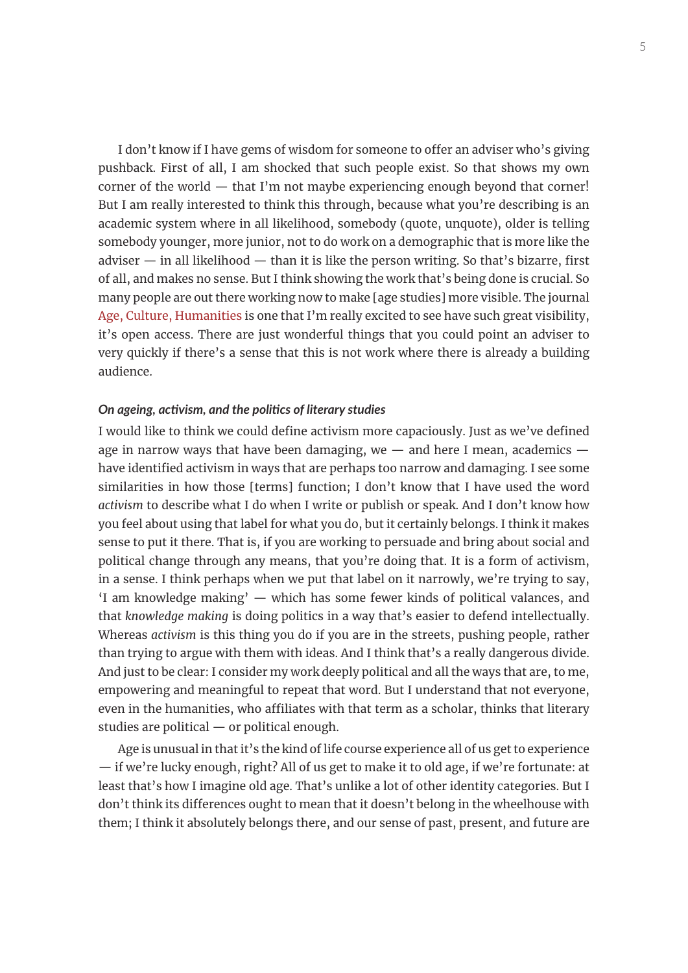I don't know if I have gems of wisdom for someone to offer an adviser who's giving pushback. First of all, I am shocked that such people exist. So that shows my own corner of the world  $-$  that I'm not maybe experiencing enough beyond that corner! But I am really interested to think this through, because what you're describing is an academic system where in all likelihood, somebody (quote, unquote), older is telling somebody younger, more junior, not to do work on a demographic that is more like the  $adviser$  — in all likelihood — than it is like the person writing. So that's bizarre, first of all, and makes no sense. But I think showing the work that's being done is crucial. So many people are out there working now to make [age studies] more visible. The journal [Age, Culture, Humanities](https://ageculturehumanities.org/) is one that I'm really excited to see have such great visibility, it's open access. There are just wonderful things that you could point an adviser to very quickly if there's a sense that this is not work where there is already a building audience.

# *On ageing, activism, and the politics of literary studies*

I would like to think we could define activism more capaciously. Just as we've defined age in narrow ways that have been damaging, we  $-$  and here I mean, academics  $$ have identified activism in ways that are perhaps too narrow and damaging. I see some similarities in how those [terms] function; I don't know that I have used the word *activism* to describe what I do when I write or publish or speak. And I don't know how you feel about using that label for what you do, but it certainly belongs. I think it makes sense to put it there. That is, if you are working to persuade and bring about social and political change through any means, that you're doing that. It is a form of activism, in a sense. I think perhaps when we put that label on it narrowly, we're trying to say, 'I am knowledge making' — which has some fewer kinds of political valances, and that *knowledge making* is doing politics in a way that's easier to defend intellectually. Whereas *activism* is this thing you do if you are in the streets, pushing people, rather than trying to argue with them with ideas. And I think that's a really dangerous divide. And just to be clear: I consider my work deeply political and all the ways that are, to me, empowering and meaningful to repeat that word. But I understand that not everyone, even in the humanities, who affiliates with that term as a scholar, thinks that literary studies are political — or political enough.

Age is unusual in that it's the kind of life course experience all of us get to experience — if we're lucky enough, right? All of us get to make it to old age, if we're fortunate: at least that's how I imagine old age. That's unlike a lot of other identity categories. But I don't think its differences ought to mean that it doesn't belong in the wheelhouse with them; I think it absolutely belongs there, and our sense of past, present, and future are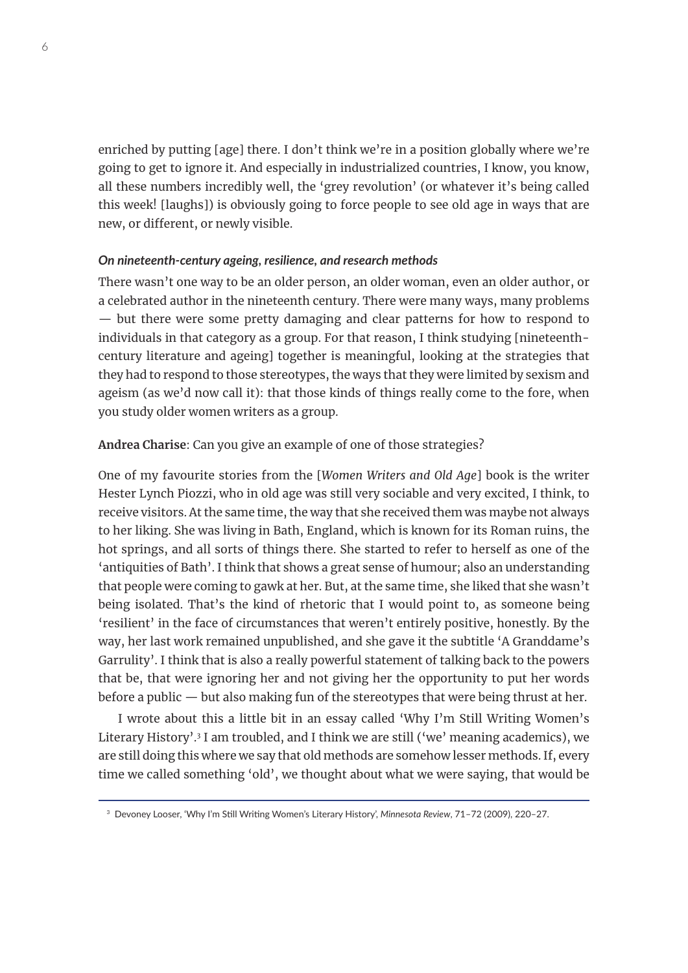enriched by putting [age] there. I don't think we're in a position globally where we're going to get to ignore it. And especially in industrialized countries, I know, you know, all these numbers incredibly well, the 'grey revolution' (or whatever it's being called this week! [laughs]) is obviously going to force people to see old age in ways that are new, or different, or newly visible.

# *On nineteenth-century ageing, resilience, and research methods*

There wasn't one way to be an older person, an older woman, even an older author, or a celebrated author in the nineteenth century. There were many ways, many problems — but there were some pretty damaging and clear patterns for how to respond to individuals in that category as a group. For that reason, I think studying [nineteenthcentury literature and ageing] together is meaningful, looking at the strategies that they had to respond to those stereotypes, the ways that they were limited by sexism and ageism (as we'd now call it): that those kinds of things really come to the fore, when you study older women writers as a group.

# **Andrea Charise**: Can you give an example of one of those strategies?

One of my favourite stories from the [*Women Writers and Old Age*] book is the writer Hester Lynch Piozzi, who in old age was still very sociable and very excited, I think, to receive visitors. At the same time, the way that she received them was maybe not always to her liking. She was living in Bath, England, which is known for its Roman ruins, the hot springs, and all sorts of things there. She started to refer to herself as one of the 'antiquities of Bath'. I think that shows a great sense of humour; also an understanding that people were coming to gawk at her. But, at the same time, she liked that she wasn't being isolated. That's the kind of rhetoric that I would point to, as someone being 'resilient' in the face of circumstances that weren't entirely positive, honestly. By the way, her last work remained unpublished, and she gave it the subtitle 'A Granddame's Garrulity'. I think that is also a really powerful statement of talking back to the powers that be, that were ignoring her and not giving her the opportunity to put her words before a public — but also making fun of the stereotypes that were being thrust at her.

I wrote about this a little bit in an essay called 'Why I'm Still Writing Women's Literary History'.3 I am troubled, and I think we are still ('we' meaning academics), we are still doing this where we say that old methods are somehow lesser methods. If, every time we called something 'old', we thought about what we were saying, that would be

<sup>3</sup> Devoney Looser, 'Why I'm Still Writing Women's Literary History', *Minnesota Review*, 71–72 (2009), 220–27.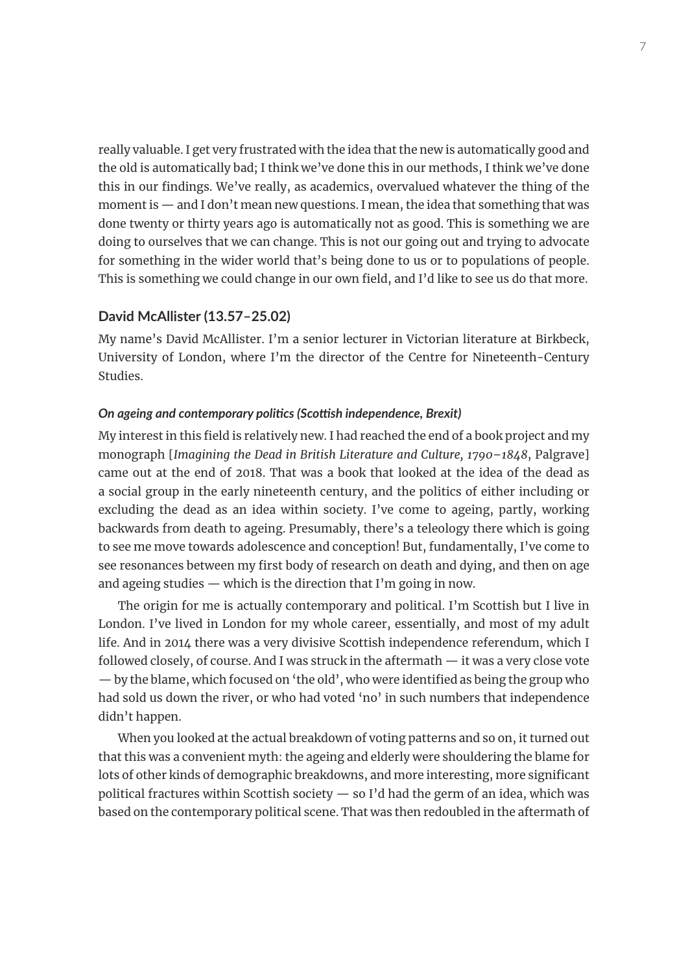really valuable. I get very frustrated with the idea that the new is automatically good and the old is automatically bad; I think we've done this in our methods, I think we've done this in our findings. We've really, as academics, overvalued whatever the thing of the moment is — and I don't mean new questions. I mean, the idea that something that was done twenty or thirty years ago is automatically not as good. This is something we are doing to ourselves that we can change. This is not our going out and trying to advocate for something in the wider world that's being done to us or to populations of people. This is something we could change in our own field, and I'd like to see us do that more.

# **David McAllister (13.57–25.02)**

My name's David McAllister. I'm a senior lecturer in Victorian literature at Birkbeck, University of London, where I'm the director of the Centre for Nineteenth-Century Studies.

# *On ageing and contemporary politics (Scottish independence, Brexit)*

My interest in this field is relatively new. I had reached the end of a book project and my monograph [*Imagining the Dead in British Literature and Culture, 1790–1848*, Palgrave] came out at the end of 2018. That was a book that looked at the idea of the dead as a social group in the early nineteenth century, and the politics of either including or excluding the dead as an idea within society. I've come to ageing, partly, working backwards from death to ageing. Presumably, there's a teleology there which is going to see me move towards adolescence and conception! But, fundamentally, I've come to see resonances between my first body of research on death and dying, and then on age and ageing studies — which is the direction that I'm going in now.

The origin for me is actually contemporary and political. I'm Scottish but I live in London. I've lived in London for my whole career, essentially, and most of my adult life. And in 2014 there was a very divisive Scottish independence referendum, which I followed closely, of course. And I was struck in the aftermath — it was a very close vote — by the blame, which focused on 'the old', who were identified as being the group who had sold us down the river, or who had voted 'no' in such numbers that independence didn't happen.

When you looked at the actual breakdown of voting patterns and so on, it turned out that this was a convenient myth: the ageing and elderly were shouldering the blame for lots of other kinds of demographic breakdowns, and more interesting, more significant political fractures within Scottish society  $-$  so I'd had the germ of an idea, which was based on the contemporary political scene. That was then redoubled in the aftermath of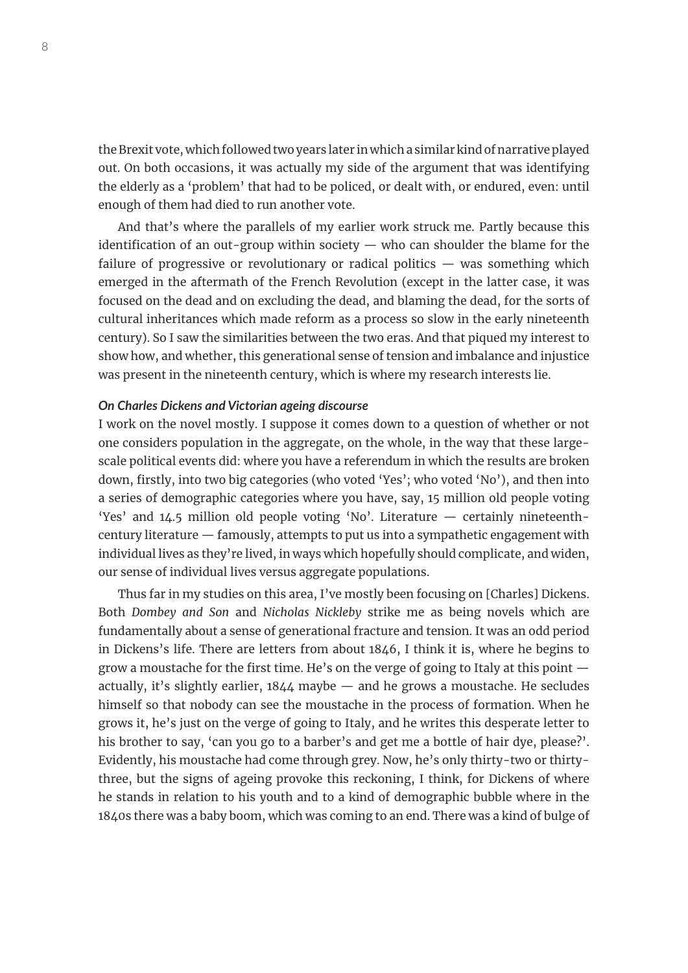the Brexit vote, which followed two years later in which a similar kind of narrative played out. On both occasions, it was actually my side of the argument that was identifying the elderly as a 'problem' that had to be policed, or dealt with, or endured, even: until enough of them had died to run another vote.

And that's where the parallels of my earlier work struck me. Partly because this identification of an out-group within society  $-$  who can shoulder the blame for the failure of progressive or revolutionary or radical politics — was something which emerged in the aftermath of the French Revolution (except in the latter case, it was focused on the dead and on excluding the dead, and blaming the dead, for the sorts of cultural inheritances which made reform as a process so slow in the early nineteenth century). So I saw the similarities between the two eras. And that piqued my interest to show how, and whether, this generational sense of tension and imbalance and injustice was present in the nineteenth century, which is where my research interests lie.

#### *On Charles Dickens and Victorian ageing discourse*

I work on the novel mostly. I suppose it comes down to a question of whether or not one considers population in the aggregate, on the whole, in the way that these largescale political events did: where you have a referendum in which the results are broken down, firstly, into two big categories (who voted 'Yes'; who voted 'No'), and then into a series of demographic categories where you have, say, 15 million old people voting 'Yes' and 14.5 million old people voting 'No'. Literature — certainly nineteenthcentury literature — famously, attempts to put us into a sympathetic engagement with individual lives as they're lived, in ways which hopefully should complicate, and widen, our sense of individual lives versus aggregate populations.

Thus far in my studies on this area, I've mostly been focusing on [Charles] Dickens. Both *Dombey and Son* and *Nicholas Nickleby* strike me as being novels which are fundamentally about a sense of generational fracture and tension. It was an odd period in Dickens's life. There are letters from about 1846, I think it is, where he begins to grow a moustache for the first time. He's on the verge of going to Italy at this point actually, it's slightly earlier, 1844 maybe — and he grows a moustache. He secludes himself so that nobody can see the moustache in the process of formation. When he grows it, he's just on the verge of going to Italy, and he writes this desperate letter to his brother to say, 'can you go to a barber's and get me a bottle of hair dye, please?'. Evidently, his moustache had come through grey. Now, he's only thirty-two or thirtythree, but the signs of ageing provoke this reckoning, I think, for Dickens of where he stands in relation to his youth and to a kind of demographic bubble where in the 1840s there was a baby boom, which was coming to an end. There was a kind of bulge of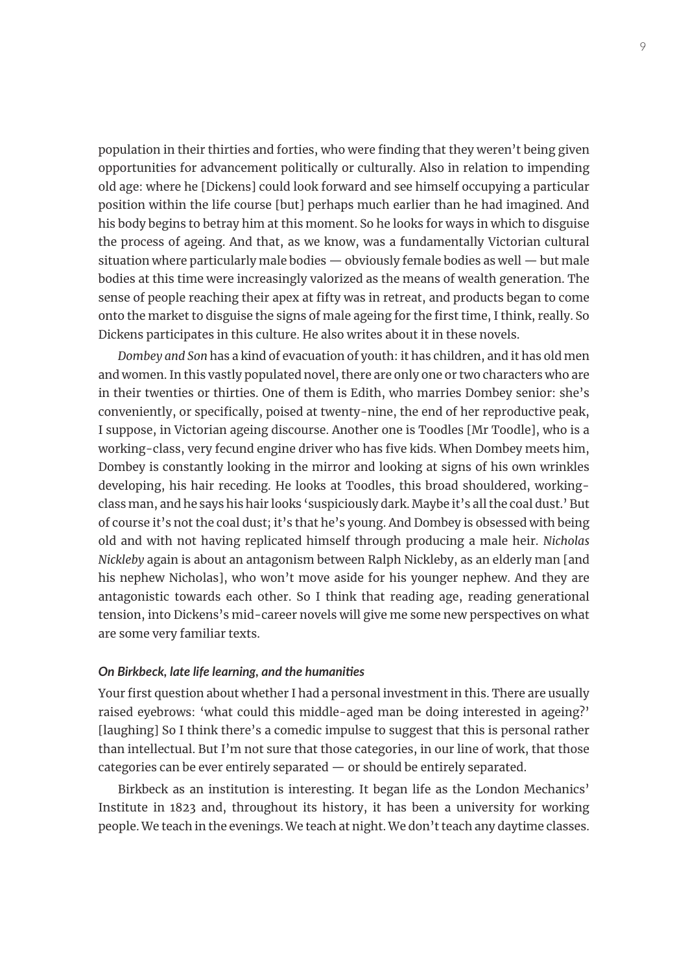population in their thirties and forties, who were finding that they weren't being given opportunities for advancement politically or culturally. Also in relation to impending old age: where he [Dickens] could look forward and see himself occupying a particular position within the life course [but] perhaps much earlier than he had imagined. And his body begins to betray him at this moment. So he looks for ways in which to disguise the process of ageing. And that, as we know, was a fundamentally Victorian cultural situation where particularly male bodies — obviously female bodies as well — but male bodies at this time were increasingly valorized as the means of wealth generation. The sense of people reaching their apex at fifty was in retreat, and products began to come onto the market to disguise the signs of male ageing for the first time, I think, really. So Dickens participates in this culture. He also writes about it in these novels.

*Dombey and Son* has a kind of evacuation of youth: it has children, and it has old men and women. In this vastly populated novel, there are only one or two characters who are in their twenties or thirties. One of them is Edith, who marries Dombey senior: she's conveniently, or specifically, poised at twenty-nine, the end of her reproductive peak, I suppose, in Victorian ageing discourse. Another one is Toodles [Mr Toodle], who is a working-class, very fecund engine driver who has five kids. When Dombey meets him, Dombey is constantly looking in the mirror and looking at signs of his own wrinkles developing, his hair receding. He looks at Toodles, this broad shouldered, workingclass man, and he says his hair looks 'suspiciously dark. Maybe it's all the coal dust.' But of course it's not the coal dust; it's that he's young. And Dombey is obsessed with being old and with not having replicated himself through producing a male heir. *Nicholas Nickleby* again is about an antagonism between Ralph Nickleby, as an elderly man [and his nephew Nicholas], who won't move aside for his younger nephew. And they are antagonistic towards each other. So I think that reading age, reading generational tension, into Dickens's mid-career novels will give me some new perspectives on what are some very familiar texts.

#### *On Birkbeck, late life learning, and the humanities*

Your first question about whether I had a personal investment in this. There are usually raised eyebrows: 'what could this middle-aged man be doing interested in ageing?' [laughing] So I think there's a comedic impulse to suggest that this is personal rather than intellectual. But I'm not sure that those categories, in our line of work, that those categories can be ever entirely separated — or should be entirely separated.

Birkbeck as an institution is interesting. It began life as the London Mechanics' Institute in 1823 and, throughout its history, it has been a university for working people. We teach in the evenings. We teach at night. We don't teach any daytime classes.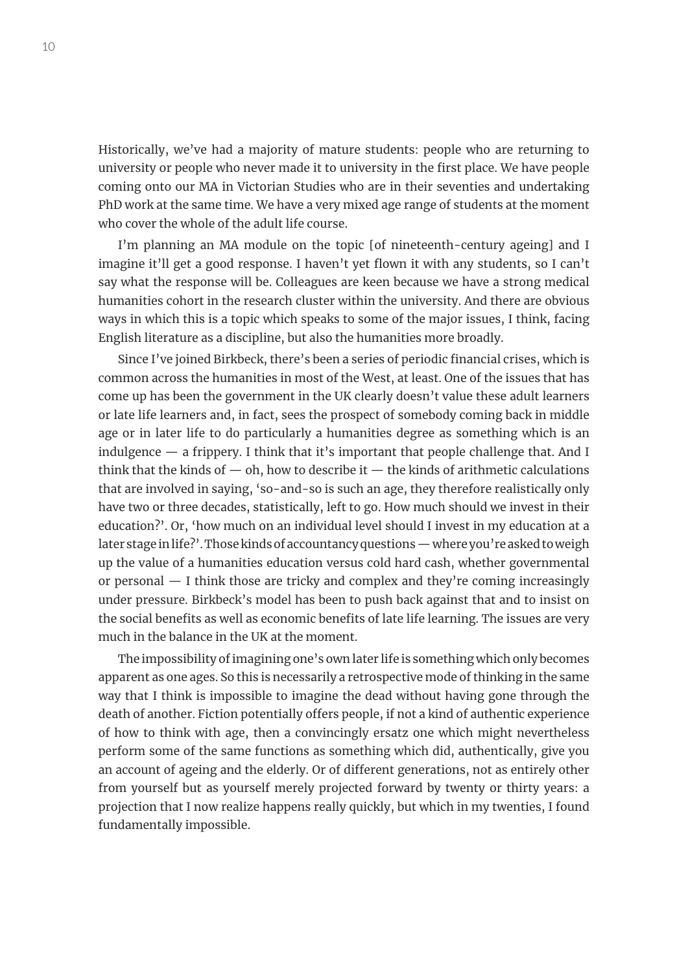Historically, we've had a majority of mature students: people who are returning to university or people who never made it to university in the first place. We have people coming onto our MA in Victorian Studies who are in their seventies and undertaking PhD work at the same time. We have a very mixed age range of students at the moment who cover the whole of the adult life course.

I'm planning an MA module on the topic [of nineteenth-century ageing] and I imagine it'll get a good response. I haven't yet flown it with any students, so I can't say what the response will be. Colleagues are keen because we have a strong medical humanities cohort in the research cluster within the university. And there are obvious ways in which this is a topic which speaks to some of the major issues, I think, facing English literature as a discipline, but also the humanities more broadly.

Since I've joined Birkbeck, there's been a series of periodic financial crises, which is common across the humanities in most of the West, at least. One of the issues that has come up has been the government in the UK clearly doesn't value these adult learners or late life learners and, in fact, sees the prospect of somebody coming back in middle age or in later life to do particularly a humanities degree as something which is an indulgence  $-$  a frippery. I think that it's important that people challenge that. And I think that the kinds of  $-$  oh, how to describe it  $-$  the kinds of arithmetic calculations that are involved in saying, 'so-and-so is such an age, they therefore realistically only have two or three decades, statistically, left to go. How much should we invest in their education?'. Or, 'how much on an individual level should I invest in my education at a later stage in life?'. Those kinds of accountancy questions — where you're asked to weigh up the value of a humanities education versus cold hard cash, whether governmental or personal — I think those are tricky and complex and they're coming increasingly under pressure. Birkbeck's model has been to push back against that and to insist on the social benefits as well as economic benefits of late life learning. The issues are very much in the balance in the UK at the moment.

The impossibility of imagining one's own later life is something which only becomes apparent as one ages. So this is necessarily a retrospective mode of thinking in the same way that I think is impossible to imagine the dead without having gone through the death of another. Fiction potentially offers people, if not a kind of authentic experience of how to think with age, then a convincingly ersatz one which might nevertheless perform some of the same functions as something which did, authentically, give you an account of ageing and the elderly. Or of different generations, not as entirely other from yourself but as yourself merely projected forward by twenty or thirty years: a projection that I now realize happens really quickly, but which in my twenties, I found fundamentally impossible.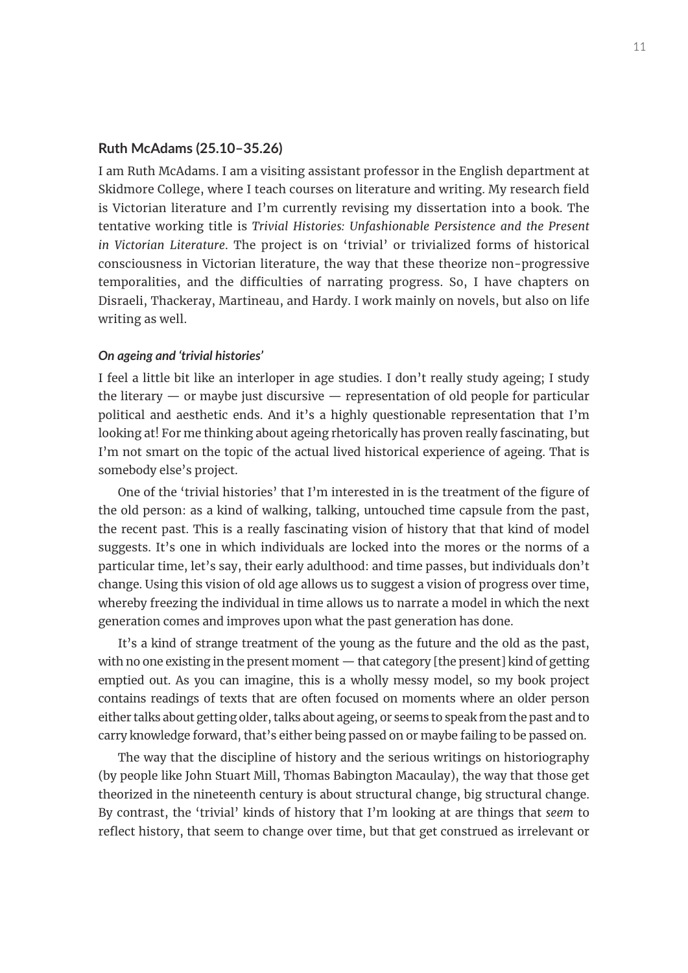#### **Ruth McAdams (25.10–35.26)**

I am Ruth McAdams. I am a visiting assistant professor in the English department at Skidmore College, where I teach courses on literature and writing. My research field is Victorian literature and I'm currently revising my dissertation into a book. The tentative working title is *Trivial Histories: Unfashionable Persistence and the Present in Victorian Literature*. The project is on 'trivial' or trivialized forms of historical consciousness in Victorian literature, the way that these theorize non-progressive temporalities, and the difficulties of narrating progress. So, I have chapters on Disraeli, Thackeray, Martineau, and Hardy. I work mainly on novels, but also on life writing as well.

#### *On ageing and 'trivial histories'*

I feel a little bit like an interloper in age studies. I don't really study ageing; I study the literary  $-$  or maybe just discursive  $-$  representation of old people for particular political and aesthetic ends. And it's a highly questionable representation that I'm looking at! For me thinking about ageing rhetorically has proven really fascinating, but I'm not smart on the topic of the actual lived historical experience of ageing. That is somebody else's project.

One of the 'trivial histories' that I'm interested in is the treatment of the figure of the old person: as a kind of walking, talking, untouched time capsule from the past, the recent past. This is a really fascinating vision of history that that kind of model suggests. It's one in which individuals are locked into the mores or the norms of a particular time, let's say, their early adulthood: and time passes, but individuals don't change. Using this vision of old age allows us to suggest a vision of progress over time, whereby freezing the individual in time allows us to narrate a model in which the next generation comes and improves upon what the past generation has done.

It's a kind of strange treatment of the young as the future and the old as the past, with no one existing in the present moment — that category [the present] kind of getting emptied out. As you can imagine, this is a wholly messy model, so my book project contains readings of texts that are often focused on moments where an older person either talks about getting older, talks about ageing, or seems to speak from the past and to carry knowledge forward, that's either being passed on or maybe failing to be passed on.

The way that the discipline of history and the serious writings on historiography (by people like John Stuart Mill, Thomas Babington Macaulay), the way that those get theorized in the nineteenth century is about structural change, big structural change. By contrast, the 'trivial' kinds of history that I'm looking at are things that *seem* to reflect history, that seem to change over time, but that get construed as irrelevant or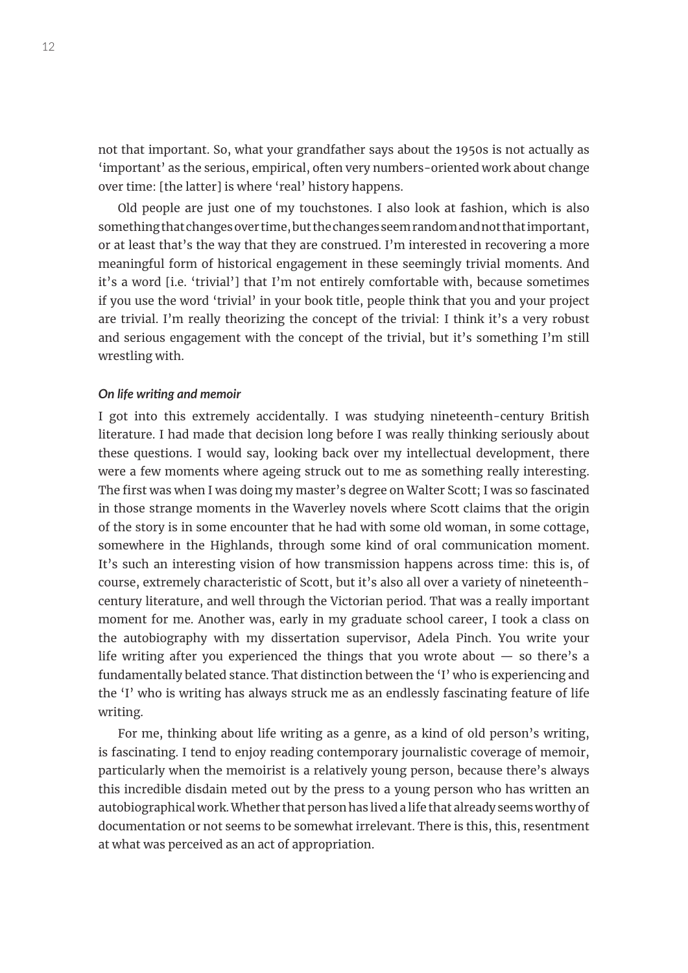not that important. So, what your grandfather says about the 1950s is not actually as 'important' as the serious, empirical, often very numbers-oriented work about change over time: [the latter] is where 'real' history happens.

Old people are just one of my touchstones. I also look at fashion, which is also something that changes over time, but the changes seem random and not that important, or at least that's the way that they are construed. I'm interested in recovering a more meaningful form of historical engagement in these seemingly trivial moments. And it's a word [i.e. 'trivial'] that I'm not entirely comfortable with, because sometimes if you use the word 'trivial' in your book title, people think that you and your project are trivial. I'm really theorizing the concept of the trivial: I think it's a very robust and serious engagement with the concept of the trivial, but it's something I'm still wrestling with.

#### *On life writing and memoir*

I got into this extremely accidentally. I was studying nineteenth-century British literature. I had made that decision long before I was really thinking seriously about these questions. I would say, looking back over my intellectual development, there were a few moments where ageing struck out to me as something really interesting. The first was when I was doing my master's degree on Walter Scott; I was so fascinated in those strange moments in the Waverley novels where Scott claims that the origin of the story is in some encounter that he had with some old woman, in some cottage, somewhere in the Highlands, through some kind of oral communication moment. It's such an interesting vision of how transmission happens across time: this is, of course, extremely characteristic of Scott, but it's also all over a variety of nineteenthcentury literature, and well through the Victorian period. That was a really important moment for me. Another was, early in my graduate school career, I took a class on the autobiography with my dissertation supervisor, Adela Pinch. You write your life writing after you experienced the things that you wrote about  $-$  so there's a fundamentally belated stance. That distinction between the 'I' who is experiencing and the 'I' who is writing has always struck me as an endlessly fascinating feature of life writing.

For me, thinking about life writing as a genre, as a kind of old person's writing, is fascinating. I tend to enjoy reading contemporary journalistic coverage of memoir, particularly when the memoirist is a relatively young person, because there's always this incredible disdain meted out by the press to a young person who has written an autobiographical work. Whether that person has lived a life that already seems worthy of documentation or not seems to be somewhat irrelevant. There is this, this, resentment at what was perceived as an act of appropriation.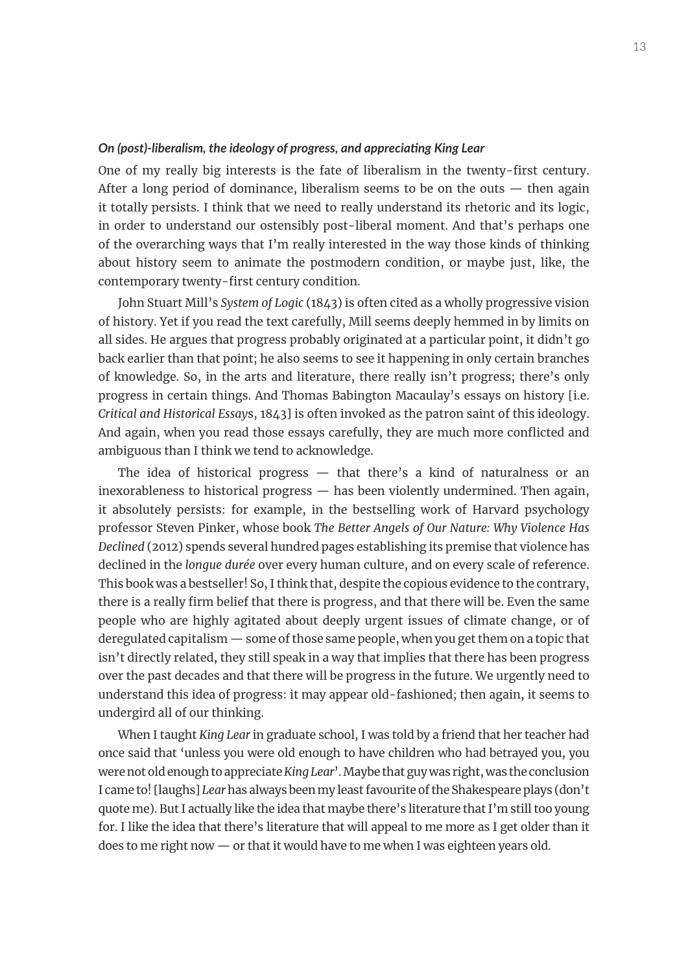### *On (post)-liberalism, the ideology of progress, and appreciating King Lear*

One of my really big interests is the fate of liberalism in the twenty-first century. After a long period of dominance, liberalism seems to be on the outs  $-$  then again it totally persists. I think that we need to really understand its rhetoric and its logic, in order to understand our ostensibly post-liberal moment. And that's perhaps one of the overarching ways that I'm really interested in the way those kinds of thinking about history seem to animate the postmodern condition, or maybe just, like, the contemporary twenty-first century condition.

John Stuart Mill's *System of Logic* (1843) is often cited as a wholly progressive vision of history. Yet if you read the text carefully, Mill seems deeply hemmed in by limits on all sides. He argues that progress probably originated at a particular point, it didn't go back earlier than that point; he also seems to see it happening in only certain branches of knowledge. So, in the arts and literature, there really isn't progress; there's only progress in certain things. And Thomas Babington Macaulay's essays on history [i.e. *Critical and Historical Essay*s, 1843] is often invoked as the patron saint of this ideology. And again, when you read those essays carefully, they are much more conflicted and ambiguous than I think we tend to acknowledge.

The idea of historical progress — that there's a kind of naturalness or an inexorableness to historical progress — has been violently undermined. Then again, it absolutely persists: for example, in the bestselling work of Harvard psychology professor Steven Pinker, whose book *The Better Angels of Our Nature: Why Violence Has Declined* (2012) spends several hundred pages establishing its premise that violence has declined in the *longue durée* over every human culture, and on every scale of reference. This book was a bestseller! So, I think that, despite the copious evidence to the contrary, there is a really firm belief that there is progress, and that there will be. Even the same people who are highly agitated about deeply urgent issues of climate change, or of deregulated capitalism — some of those same people, when you get them on a topic that isn't directly related, they still speak in a way that implies that there has been progress over the past decades and that there will be progress in the future. We urgently need to understand this idea of progress: it may appear old-fashioned; then again, it seems to undergird all of our thinking.

When I taught *King Lear* in graduate school, I was told by a friend that her teacher had once said that 'unless you were old enough to have children who had betrayed you, you were not old enough to appreciate *King Lear*'. Maybe that guy was right, was the conclusion I came to! [laughs] *Lear* has always been my least favourite of the Shakespeare plays (don't quote me). But I actually like the idea that maybe there's literature that I'm still too young for. I like the idea that there's literature that will appeal to me more as I get older than it does to me right now — or that it would have to me when I was eighteen years old.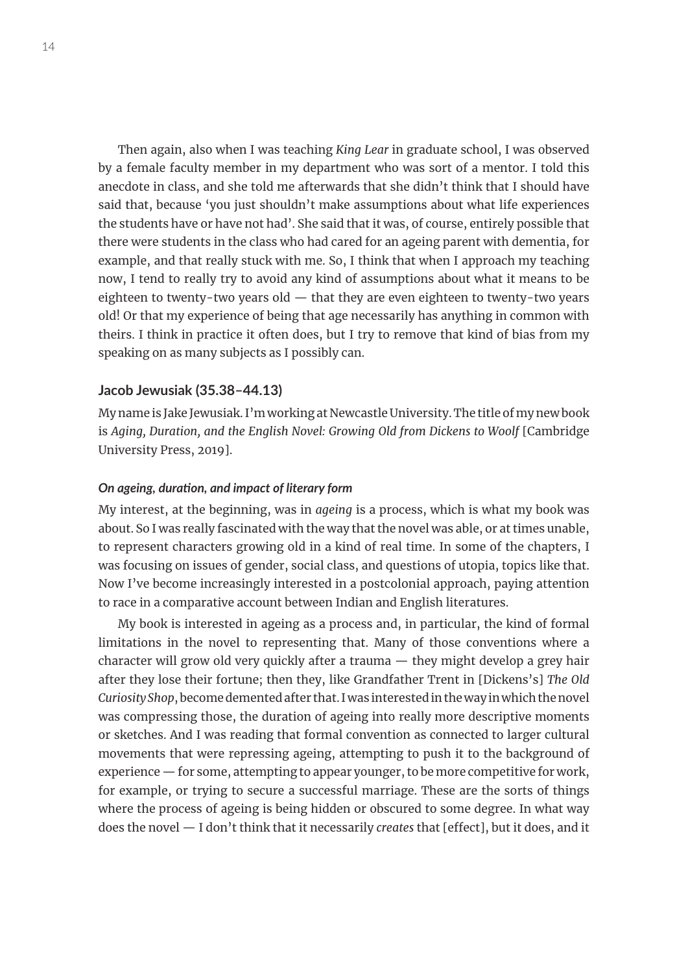Then again, also when I was teaching *King Lear* in graduate school, I was observed by a female faculty member in my department who was sort of a mentor. I told this anecdote in class, and she told me afterwards that she didn't think that I should have said that, because 'you just shouldn't make assumptions about what life experiences the students have or have not had'. She said that it was, of course, entirely possible that there were students in the class who had cared for an ageing parent with dementia, for example, and that really stuck with me. So, I think that when I approach my teaching now, I tend to really try to avoid any kind of assumptions about what it means to be eighteen to twenty-two years old  $-$  that they are even eighteen to twenty-two years old! Or that my experience of being that age necessarily has anything in common with theirs. I think in practice it often does, but I try to remove that kind of bias from my speaking on as many subjects as I possibly can.

# **Jacob Jewusiak (35.38–44.13)**

My name is Jake Jewusiak. I'm working at Newcastle University. The title of my new book is *Aging, Duration, and the English Novel: Growing Old from Dickens to Woolf* [Cambridge University Press, 2019].

# *On ageing, duration, and impact of literary form*

My interest, at the beginning, was in *ageing* is a process, which is what my book was about. So I was really fascinated with the way that the novel was able, or at times unable, to represent characters growing old in a kind of real time. In some of the chapters, I was focusing on issues of gender, social class, and questions of utopia, topics like that. Now I've become increasingly interested in a postcolonial approach, paying attention to race in a comparative account between Indian and English literatures.

My book is interested in ageing as a process and, in particular, the kind of formal limitations in the novel to representing that. Many of those conventions where a character will grow old very quickly after a trauma — they might develop a grey hair after they lose their fortune; then they, like Grandfather Trent in [Dickens's] *The Old Curiosity Shop*, become demented after that. I was interested in the way in which the novel was compressing those, the duration of ageing into really more descriptive moments or sketches. And I was reading that formal convention as connected to larger cultural movements that were repressing ageing, attempting to push it to the background of experience — for some, attempting to appear younger, to be more competitive for work, for example, or trying to secure a successful marriage. These are the sorts of things where the process of ageing is being hidden or obscured to some degree. In what way does the novel — I don't think that it necessarily *creates* that [effect], but it does, and it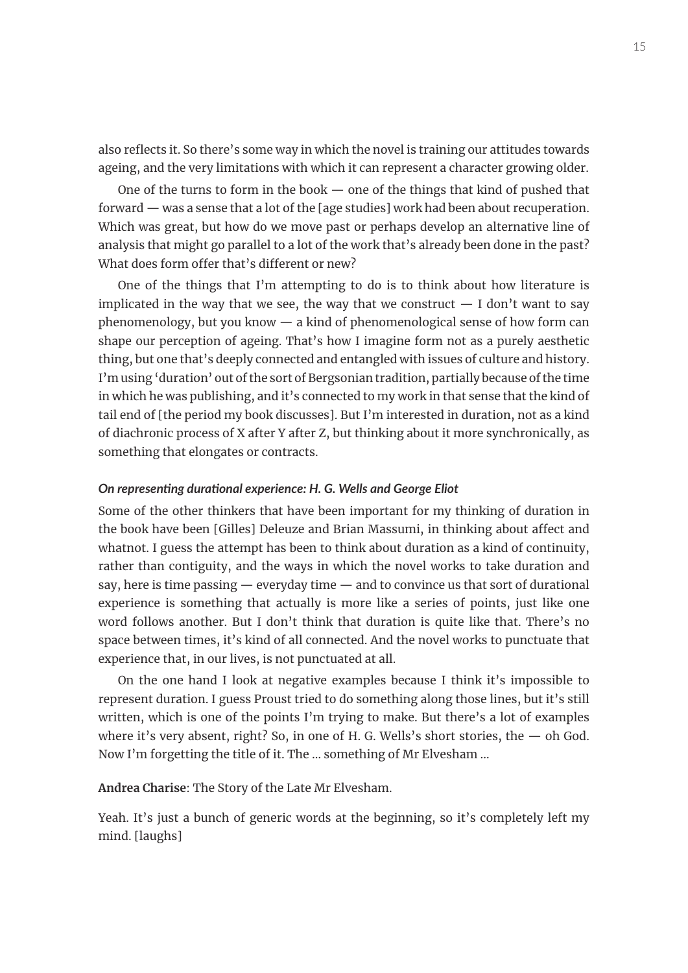also reflects it. So there's some way in which the novel is training our attitudes towards ageing, and the very limitations with which it can represent a character growing older.

One of the turns to form in the book — one of the things that kind of pushed that forward — was a sense that a lot of the [age studies] work had been about recuperation. Which was great, but how do we move past or perhaps develop an alternative line of analysis that might go parallel to a lot of the work that's already been done in the past? What does form offer that's different or new?

One of the things that I'm attempting to do is to think about how literature is implicated in the way that we see, the way that we construct  $-$  I don't want to say phenomenology, but you know — a kind of phenomenological sense of how form can shape our perception of ageing. That's how I imagine form not as a purely aesthetic thing, but one that's deeply connected and entangled with issues of culture and history. I'm using 'duration' out of the sort of Bergsonian tradition, partially because of the time in which he was publishing, and it's connected to my work in that sense that the kind of tail end of [the period my book discusses]. But I'm interested in duration, not as a kind of diachronic process of X after Y after Z, but thinking about it more synchronically, as something that elongates or contracts.

# *On representing durational experience: H. G. Wells and George Eliot*

Some of the other thinkers that have been important for my thinking of duration in the book have been [Gilles] Deleuze and Brian Massumi, in thinking about affect and whatnot. I guess the attempt has been to think about duration as a kind of continuity, rather than contiguity, and the ways in which the novel works to take duration and say, here is time passing — everyday time — and to convince us that sort of durational experience is something that actually is more like a series of points, just like one word follows another. But I don't think that duration is quite like that. There's no space between times, it's kind of all connected. And the novel works to punctuate that experience that, in our lives, is not punctuated at all.

On the one hand I look at negative examples because I think it's impossible to represent duration. I guess Proust tried to do something along those lines, but it's still written, which is one of the points I'm trying to make. But there's a lot of examples where it's very absent, right? So, in one of H. G. Wells's short stories, the  $-$  oh God. Now I'm forgetting the title of it. The … something of Mr Elvesham …

**Andrea Charise**: The Story of the Late Mr Elvesham.

Yeah. It's just a bunch of generic words at the beginning, so it's completely left my mind. [laughs]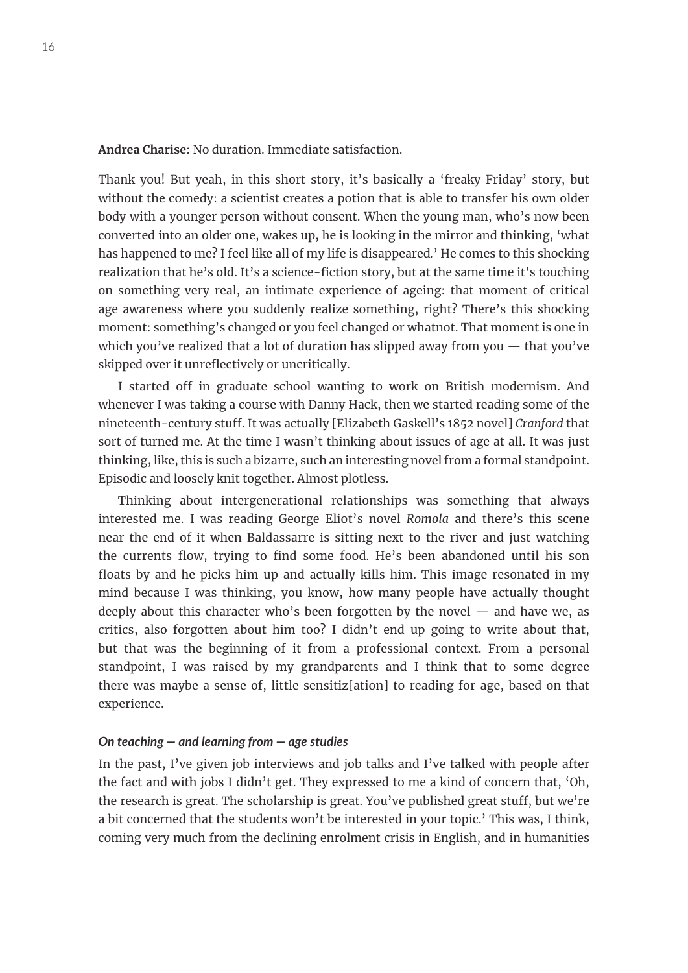**Andrea Charise**: No duration. Immediate satisfaction.

Thank you! But yeah, in this short story, it's basically a 'freaky Friday' story, but without the comedy: a scientist creates a potion that is able to transfer his own older body with a younger person without consent. When the young man, who's now been converted into an older one, wakes up, he is looking in the mirror and thinking, 'what has happened to me? I feel like all of my life is disappeared*.*' He comes to this shocking realization that he's old. It's a science-fiction story, but at the same time it's touching on something very real, an intimate experience of ageing: that moment of critical age awareness where you suddenly realize something, right? There's this shocking moment: something's changed or you feel changed or whatnot. That moment is one in which you've realized that a lot of duration has slipped away from you  $-$  that you've skipped over it unreflectively or uncritically.

I started off in graduate school wanting to work on British modernism. And whenever I was taking a course with Danny Hack, then we started reading some of the nineteenth-century stuff. It was actually [Elizabeth Gaskell's 1852 novel] *Cranford* that sort of turned me. At the time I wasn't thinking about issues of age at all. It was just thinking, like, this is such a bizarre, such an interesting novel from a formal standpoint. Episodic and loosely knit together. Almost plotless.

Thinking about intergenerational relationships was something that always interested me. I was reading George Eliot's novel *Romola* and there's this scene near the end of it when Baldassarre is sitting next to the river and just watching the currents flow, trying to find some food. He's been abandoned until his son floats by and he picks him up and actually kills him. This image resonated in my mind because I was thinking, you know, how many people have actually thought deeply about this character who's been forgotten by the novel  $-$  and have we, as critics, also forgotten about him too? I didn't end up going to write about that, but that was the beginning of it from a professional context. From a personal standpoint, I was raised by my grandparents and I think that to some degree there was maybe a sense of, little sensitiz[ation] to reading for age, based on that experience.

# *On teaching — and learning from — age studies*

In the past, I've given job interviews and job talks and I've talked with people after the fact and with jobs I didn't get. They expressed to me a kind of concern that, 'Oh, the research is great. The scholarship is great. You've published great stuff, but we're a bit concerned that the students won't be interested in your topic.' This was, I think, coming very much from the declining enrolment crisis in English, and in humanities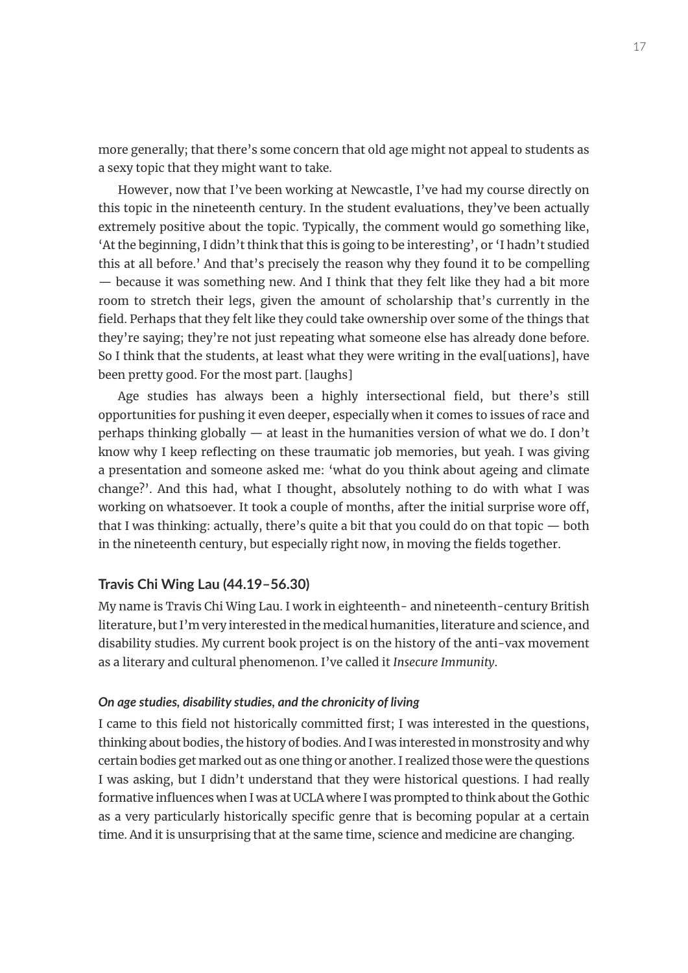more generally; that there's some concern that old age might not appeal to students as a sexy topic that they might want to take.

However, now that I've been working at Newcastle, I've had my course directly on this topic in the nineteenth century. In the student evaluations, they've been actually extremely positive about the topic. Typically, the comment would go something like, 'At the beginning, I didn't think that this is going to be interesting', or 'I hadn't studied this at all before.' And that's precisely the reason why they found it to be compelling — because it was something new. And I think that they felt like they had a bit more room to stretch their legs, given the amount of scholarship that's currently in the field. Perhaps that they felt like they could take ownership over some of the things that they're saying; they're not just repeating what someone else has already done before. So I think that the students, at least what they were writing in the eval[uations], have been pretty good. For the most part. [laughs]

Age studies has always been a highly intersectional field, but there's still opportunities for pushing it even deeper, especially when it comes to issues of race and perhaps thinking globally — at least in the humanities version of what we do. I don't know why I keep reflecting on these traumatic job memories, but yeah. I was giving a presentation and someone asked me: 'what do you think about ageing and climate change?'. And this had, what I thought, absolutely nothing to do with what I was working on whatsoever. It took a couple of months, after the initial surprise wore off, that I was thinking: actually, there's quite a bit that you could do on that topic  $-$  both in the nineteenth century, but especially right now, in moving the fields together.

# **Travis Chi Wing Lau (44.19–56.30)**

My name is Travis Chi Wing Lau. I work in eighteenth- and nineteenth-century British literature, but I'm very interested in the medical humanities, literature and science, and disability studies. My current book project is on the history of the anti-vax movement as a literary and cultural phenomenon. I've called it *Insecure Immunity*.

# *On age studies, disability studies, and the chronicity of living*

I came to this field not historically committed first; I was interested in the questions, thinking about bodies, the history of bodies. And I was interested in monstrosity and why certain bodies get marked out as one thing or another. I realized those were the questions I was asking, but I didn't understand that they were historical questions. I had really formative influences when I was at UCLA where I was prompted to think about the Gothic as a very particularly historically specific genre that is becoming popular at a certain time. And it is unsurprising that at the same time, science and medicine are changing.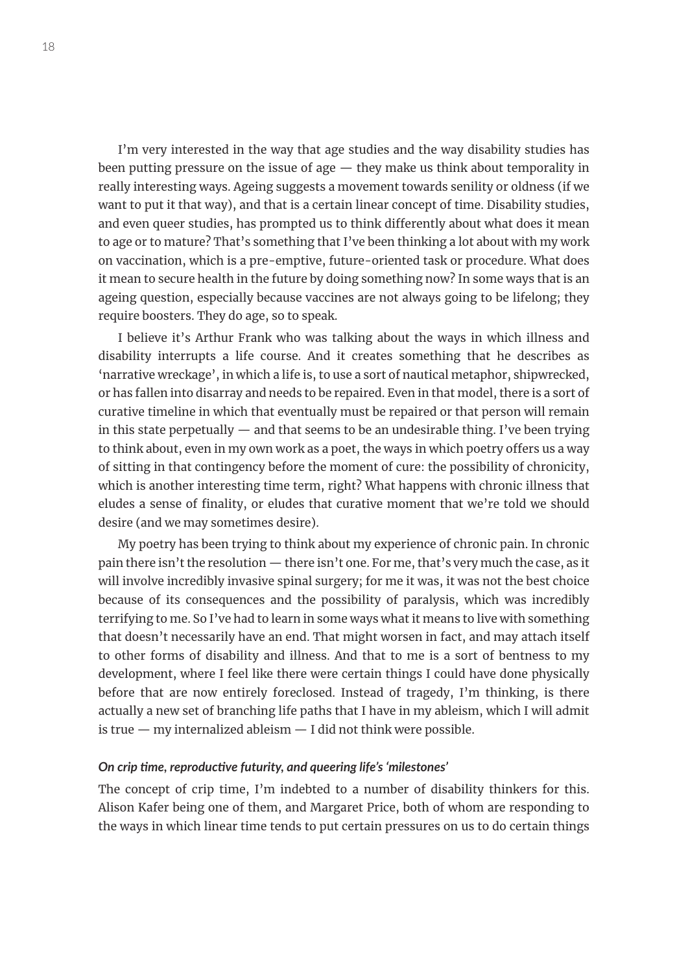I'm very interested in the way that age studies and the way disability studies has been putting pressure on the issue of age — they make us think about temporality in really interesting ways. Ageing suggests a movement towards senility or oldness (if we want to put it that way), and that is a certain linear concept of time. Disability studies, and even queer studies, has prompted us to think differently about what does it mean to age or to mature? That's something that I've been thinking a lot about with my work on vaccination, which is a pre-emptive, future-oriented task or procedure. What does it mean to secure health in the future by doing something now? In some ways that is an ageing question, especially because vaccines are not always going to be lifelong; they require boosters. They do age, so to speak.

I believe it's Arthur Frank who was talking about the ways in which illness and disability interrupts a life course. And it creates something that he describes as 'narrative wreckage', in which a life is, to use a sort of nautical metaphor, shipwrecked, or has fallen into disarray and needs to be repaired. Even in that model, there is a sort of curative timeline in which that eventually must be repaired or that person will remain in this state perpetually  $-$  and that seems to be an undesirable thing. I've been trying to think about, even in my own work as a poet, the ways in which poetry offers us a way of sitting in that contingency before the moment of cure: the possibility of chronicity, which is another interesting time term, right? What happens with chronic illness that eludes a sense of finality, or eludes that curative moment that we're told we should desire (and we may sometimes desire).

My poetry has been trying to think about my experience of chronic pain. In chronic pain there isn't the resolution — there isn't one. For me, that's very much the case, as it will involve incredibly invasive spinal surgery; for me it was, it was not the best choice because of its consequences and the possibility of paralysis, which was incredibly terrifying to me. So I've had to learn in some ways what it means to live with something that doesn't necessarily have an end. That might worsen in fact, and may attach itself to other forms of disability and illness. And that to me is a sort of bentness to my development, where I feel like there were certain things I could have done physically before that are now entirely foreclosed. Instead of tragedy, I'm thinking, is there actually a new set of branching life paths that I have in my ableism, which I will admit is true  $-$  my internalized ableism  $-$  I did not think were possible.

#### *On crip time, reproductive futurity, and queering life's 'milestones'*

The concept of crip time, I'm indebted to a number of disability thinkers for this. Alison Kafer being one of them, and Margaret Price, both of whom are responding to the ways in which linear time tends to put certain pressures on us to do certain things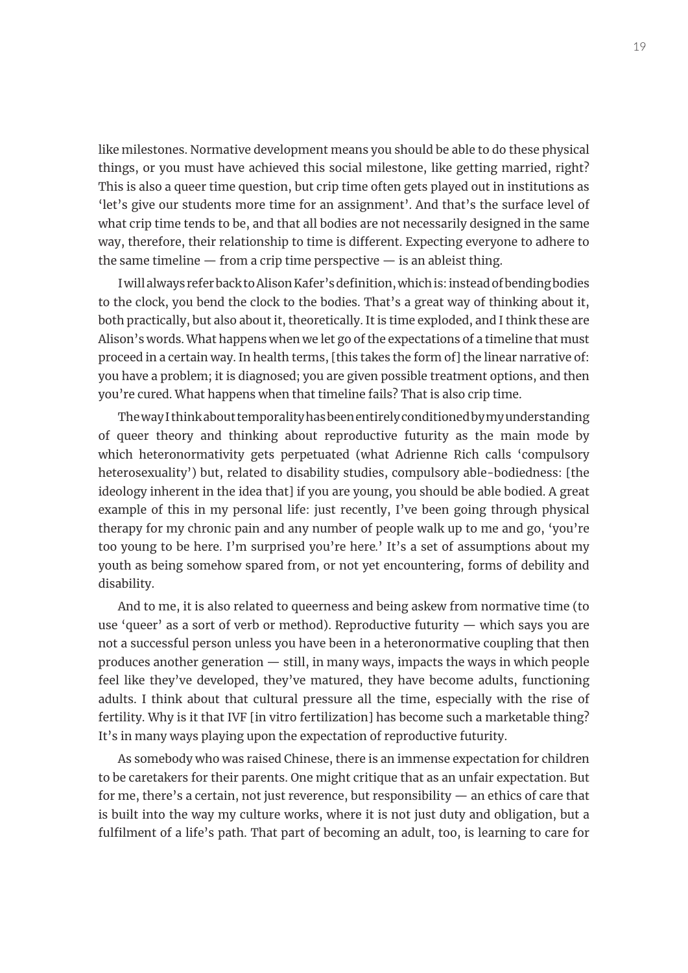like milestones. Normative development means you should be able to do these physical things, or you must have achieved this social milestone, like getting married, right? This is also a queer time question, but crip time often gets played out in institutions as 'let's give our students more time for an assignment'. And that's the surface level of what crip time tends to be, and that all bodies are not necessarily designed in the same way, therefore, their relationship to time is different. Expecting everyone to adhere to the same timeline  $-$  from a crip time perspective  $-$  is an ableist thing.

I will always refer back to Alison Kafer's definition, which is: instead of bending bodies to the clock, you bend the clock to the bodies. That's a great way of thinking about it, both practically, but also about it, theoretically. It is time exploded, and I think these are Alison's words. What happens when we let go of the expectations of a timeline that must proceed in a certain way. In health terms, [this takes the form of] the linear narrative of: you have a problem; it is diagnosed; you are given possible treatment options, and then you're cured. What happens when that timeline fails? That is also crip time.

The way I think about temporality has been entirely conditioned by my understanding of queer theory and thinking about reproductive futurity as the main mode by which heteronormativity gets perpetuated (what Adrienne Rich calls 'compulsory heterosexuality') but, related to disability studies, compulsory able-bodiedness: [the ideology inherent in the idea that] if you are young, you should be able bodied. A great example of this in my personal life: just recently, I've been going through physical therapy for my chronic pain and any number of people walk up to me and go, 'you're too young to be here. I'm surprised you're here*.*' It's a set of assumptions about my youth as being somehow spared from, or not yet encountering, forms of debility and disability.

And to me, it is also related to queerness and being askew from normative time (to use 'queer' as a sort of verb or method). Reproductive futurity — which says you are not a successful person unless you have been in a heteronormative coupling that then produces another generation — still, in many ways, impacts the ways in which people feel like they've developed, they've matured, they have become adults, functioning adults. I think about that cultural pressure all the time, especially with the rise of fertility. Why is it that IVF [in vitro fertilization] has become such a marketable thing? It's in many ways playing upon the expectation of reproductive futurity.

As somebody who was raised Chinese, there is an immense expectation for children to be caretakers for their parents. One might critique that as an unfair expectation. But for me, there's a certain, not just reverence, but responsibility — an ethics of care that is built into the way my culture works, where it is not just duty and obligation, but a fulfilment of a life's path. That part of becoming an adult, too, is learning to care for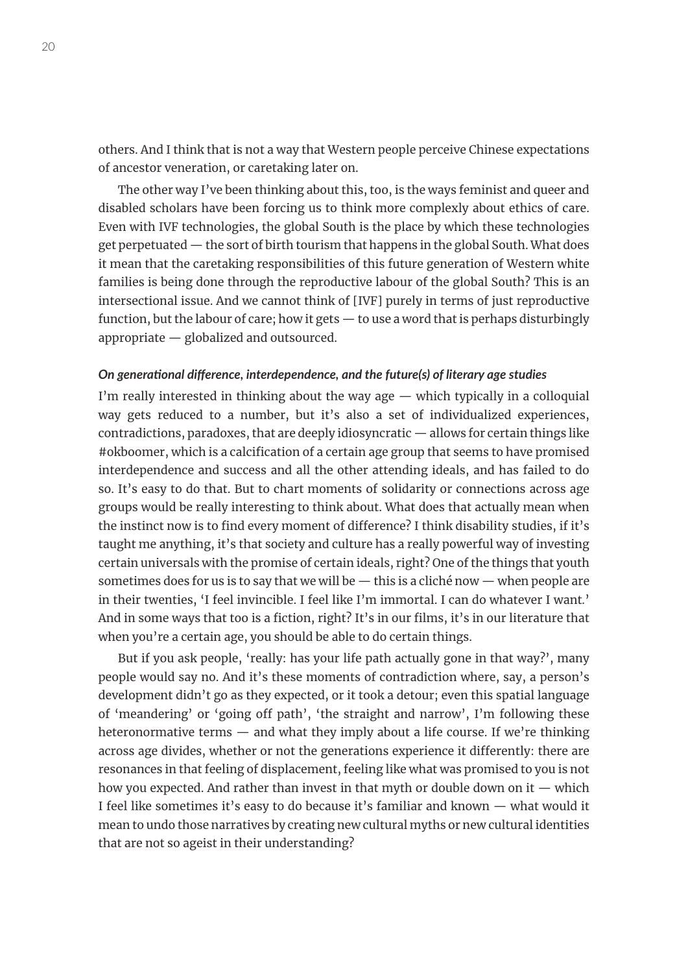others. And I think that is not a way that Western people perceive Chinese expectations of ancestor veneration, or caretaking later on.

The other way I've been thinking about this, too, is the ways feminist and queer and disabled scholars have been forcing us to think more complexly about ethics of care. Even with IVF technologies, the global South is the place by which these technologies get perpetuated — the sort of birth tourism that happens in the global South. What does it mean that the caretaking responsibilities of this future generation of Western white families is being done through the reproductive labour of the global South? This is an intersectional issue. And we cannot think of [IVF] purely in terms of just reproductive function, but the labour of care; how it gets — to use a word that is perhaps disturbingly appropriate — globalized and outsourced.

# *On generational difference, interdependence, and the future(s) of literary age studies*

I'm really interested in thinking about the way age  $-$  which typically in a colloquial way gets reduced to a number, but it's also a set of individualized experiences, contradictions, paradoxes, that are deeply idiosyncratic — allows for certain things like #okboomer, which is a calcification of a certain age group that seems to have promised interdependence and success and all the other attending ideals, and has failed to do so. It's easy to do that. But to chart moments of solidarity or connections across age groups would be really interesting to think about. What does that actually mean when the instinct now is to find every moment of difference? I think disability studies, if it's taught me anything, it's that society and culture has a really powerful way of investing certain universals with the promise of certain ideals, right? One of the things that youth sometimes does for us is to say that we will be  $-$  this is a cliché now  $-$  when people are in their twenties, 'I feel invincible. I feel like I'm immortal. I can do whatever I want*.*' And in some ways that too is a fiction, right? It's in our films, it's in our literature that when you're a certain age, you should be able to do certain things.

But if you ask people, 'really: has your life path actually gone in that way?', many people would say no. And it's these moments of contradiction where, say, a person's development didn't go as they expected, or it took a detour; even this spatial language of 'meandering' or 'going off path', 'the straight and narrow', I'm following these heteronormative terms  $-$  and what they imply about a life course. If we're thinking across age divides, whether or not the generations experience it differently: there are resonances in that feeling of displacement, feeling like what was promised to you is not how you expected. And rather than invest in that myth or double down on it  $-$  which I feel like sometimes it's easy to do because it's familiar and known — what would it mean to undo those narratives by creating new cultural myths or new cultural identities that are not so ageist in their understanding?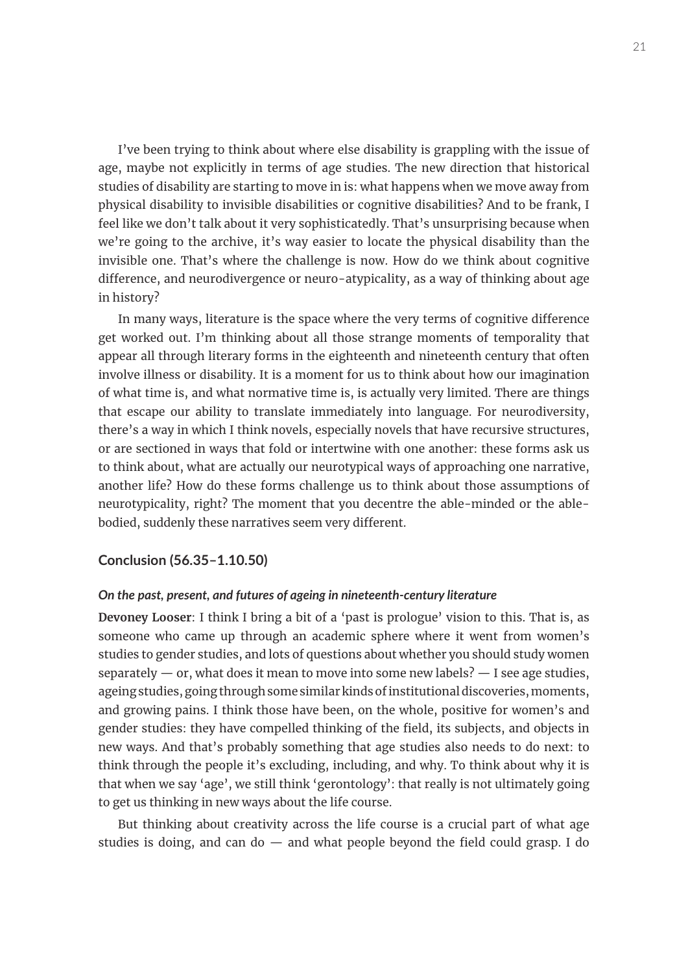I've been trying to think about where else disability is grappling with the issue of age, maybe not explicitly in terms of age studies. The new direction that historical studies of disability are starting to move in is: what happens when we move away from physical disability to invisible disabilities or cognitive disabilities? And to be frank, I feel like we don't talk about it very sophisticatedly. That's unsurprising because when we're going to the archive, it's way easier to locate the physical disability than the invisible one. That's where the challenge is now. How do we think about cognitive difference, and neurodivergence or neuro-atypicality, as a way of thinking about age in history?

In many ways, literature is the space where the very terms of cognitive difference get worked out. I'm thinking about all those strange moments of temporality that appear all through literary forms in the eighteenth and nineteenth century that often involve illness or disability. It is a moment for us to think about how our imagination of what time is, and what normative time is, is actually very limited. There are things that escape our ability to translate immediately into language. For neurodiversity, there's a way in which I think novels, especially novels that have recursive structures, or are sectioned in ways that fold or intertwine with one another: these forms ask us to think about, what are actually our neurotypical ways of approaching one narrative, another life? How do these forms challenge us to think about those assumptions of neurotypicality, right? The moment that you decentre the able-minded or the ablebodied, suddenly these narratives seem very different.

# **Conclusion (56.35–1.10.50)**

#### *On the past, present, and futures of ageing in nineteenth-century literature*

**Devoney Looser**: I think I bring a bit of a 'past is prologue' vision to this. That is, as someone who came up through an academic sphere where it went from women's studies to gender studies, and lots of questions about whether you should study women separately  $-$  or, what does it mean to move into some new labels?  $-$  I see age studies, ageing studies, going through some similar kinds of institutional discoveries, moments, and growing pains. I think those have been, on the whole, positive for women's and gender studies: they have compelled thinking of the field, its subjects, and objects in new ways. And that's probably something that age studies also needs to do next: to think through the people it's excluding, including, and why. To think about why it is that when we say 'age', we still think 'gerontology': that really is not ultimately going to get us thinking in new ways about the life course.

But thinking about creativity across the life course is a crucial part of what age studies is doing, and can do  $-$  and what people beyond the field could grasp. I do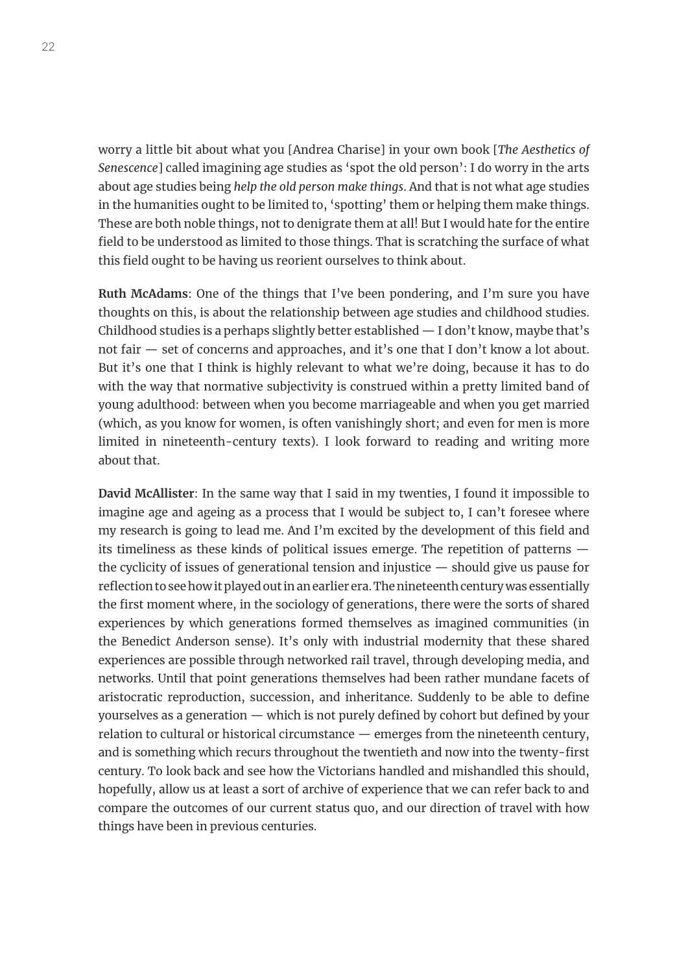worry a little bit about what you [Andrea Charise] in your own book [*The Aesthetics of Senescence*] called imagining age studies as 'spot the old person': I do worry in the arts about age studies being *help the old person make things*. And that is not what age studies in the humanities ought to be limited to, 'spotting' them or helping them make things. These are both noble things, not to denigrate them at all! But I would hate for the entire field to be understood as limited to those things. That is scratching the surface of what this field ought to be having us reorient ourselves to think about.

**Ruth McAdams**: One of the things that I've been pondering, and I'm sure you have thoughts on this, is about the relationship between age studies and childhood studies. Childhood studies is a perhaps slightly better established  $-$  I don't know, maybe that's not fair — set of concerns and approaches, and it's one that I don't know a lot about. But it's one that I think is highly relevant to what we're doing, because it has to do with the way that normative subjectivity is construed within a pretty limited band of young adulthood: between when you become marriageable and when you get married (which, as you know for women, is often vanishingly short; and even for men is more limited in nineteenth-century texts). I look forward to reading and writing more about that.

**David McAllister**: In the same way that I said in my twenties, I found it impossible to imagine age and ageing as a process that I would be subject to, I can't foresee where my research is going to lead me. And I'm excited by the development of this field and its timeliness as these kinds of political issues emerge. The repetition of patterns the cyclicity of issues of generational tension and injustice — should give us pause for reflection to see how it played out in an earlier era. The nineteenth century was essentially the first moment where, in the sociology of generations, there were the sorts of shared experiences by which generations formed themselves as imagined communities (in the Benedict Anderson sense). It's only with industrial modernity that these shared experiences are possible through networked rail travel, through developing media, and networks. Until that point generations themselves had been rather mundane facets of aristocratic reproduction, succession, and inheritance. Suddenly to be able to define yourselves as a generation — which is not purely defined by cohort but defined by your relation to cultural or historical circumstance — emerges from the nineteenth century, and is something which recurs throughout the twentieth and now into the twenty-first century. To look back and see how the Victorians handled and mishandled this should, hopefully, allow us at least a sort of archive of experience that we can refer back to and compare the outcomes of our current status quo, and our direction of travel with how things have been in previous centuries.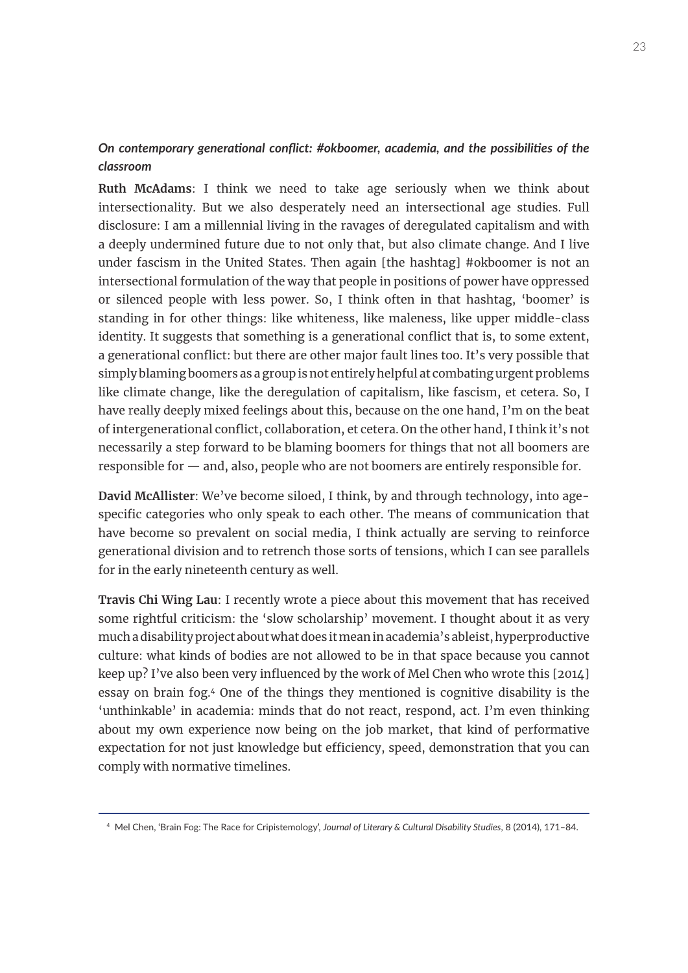# *On contemporary generational conflict: #okboomer, academia, and the possibilities of the classroom*

**Ruth McAdams**: I think we need to take age seriously when we think about intersectionality. But we also desperately need an intersectional age studies. Full disclosure: I am a millennial living in the ravages of deregulated capitalism and with a deeply undermined future due to not only that, but also climate change. And I live under fascism in the United States. Then again [the hashtag] #okboomer is not an intersectional formulation of the way that people in positions of power have oppressed or silenced people with less power. So, I think often in that hashtag, 'boomer' is standing in for other things: like whiteness, like maleness, like upper middle-class identity. It suggests that something is a generational conflict that is, to some extent, a generational conflict: but there are other major fault lines too. It's very possible that simply blaming boomers as a group is not entirely helpful at combating urgent problems like climate change, like the deregulation of capitalism, like fascism, et cetera. So, I have really deeply mixed feelings about this, because on the one hand, I'm on the beat of intergenerational conflict, collaboration, et cetera. On the other hand, I think it's not necessarily a step forward to be blaming boomers for things that not all boomers are responsible for — and, also, people who are not boomers are entirely responsible for.

**David McAllister**: We've become siloed, I think, by and through technology, into agespecific categories who only speak to each other. The means of communication that have become so prevalent on social media, I think actually are serving to reinforce generational division and to retrench those sorts of tensions, which I can see parallels for in the early nineteenth century as well.

**Travis Chi Wing Lau**: I recently wrote a piece about this movement that has received some rightful criticism: the 'slow scholarship' movement. I thought about it as very much a disability project about what does it mean in academia's ableist, hyperproductive culture: what kinds of bodies are not allowed to be in that space because you cannot keep up? I've also been very influenced by the work of Mel Chen who wrote this [2014] essay on brain fog.4 One of the things they mentioned is cognitive disability is the 'unthinkable' in academia: minds that do not react, respond, act. I'm even thinking about my own experience now being on the job market, that kind of performative expectation for not just knowledge but efficiency, speed, demonstration that you can comply with normative timelines.

<sup>4</sup> Mel Chen, 'Brain Fog: The Race for Cripistemology', *Journal of Literary & Cultural Disability Studies*, 8 (2014), 171–84.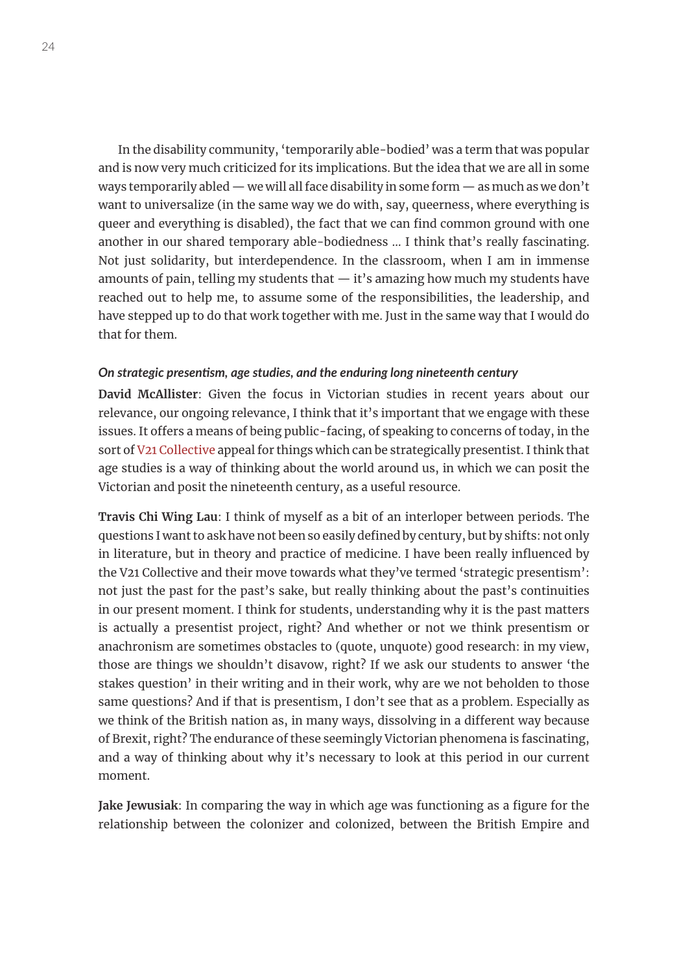In the disability community, 'temporarily able-bodied' was a term that was popular and is now very much criticized for its implications. But the idea that we are all in some ways temporarily abled — we will all face disability in some form — as much as we don't want to universalize (in the same way we do with, say, queerness, where everything is queer and everything is disabled), the fact that we can find common ground with one another in our shared temporary able-bodiedness … I think that's really fascinating. Not just solidarity, but interdependence. In the classroom, when I am in immense amounts of pain, telling my students that  $-$  it's amazing how much my students have reached out to help me, to assume some of the responsibilities, the leadership, and have stepped up to do that work together with me. Just in the same way that I would do that for them.

#### *On strategic presentism, age studies, and the enduring long nineteenth century*

**David McAllister**: Given the focus in Victorian studies in recent years about our relevance, our ongoing relevance, I think that it's important that we engage with these issues. It offers a means of being public-facing, of speaking to concerns of today, in the sort of [V21 Collective](http://v21collective.org/manifesto-of-the-v21-collective-ten-theses/) appeal for things which can be strategically presentist. I think that age studies is a way of thinking about the world around us, in which we can posit the Victorian and posit the nineteenth century, as a useful resource.

**Travis Chi Wing Lau**: I think of myself as a bit of an interloper between periods. The questions I want to ask have not been so easily defined by century, but by shifts: not only in literature, but in theory and practice of medicine. I have been really influenced by the V21 Collective and their move towards what they've termed 'strategic presentism': not just the past for the past's sake, but really thinking about the past's continuities in our present moment. I think for students, understanding why it is the past matters is actually a presentist project, right? And whether or not we think presentism or anachronism are sometimes obstacles to (quote, unquote) good research: in my view, those are things we shouldn't disavow, right? If we ask our students to answer 'the stakes question' in their writing and in their work, why are we not beholden to those same questions? And if that is presentism, I don't see that as a problem. Especially as we think of the British nation as, in many ways, dissolving in a different way because of Brexit, right? The endurance of these seemingly Victorian phenomena is fascinating, and a way of thinking about why it's necessary to look at this period in our current moment.

**Jake Jewusiak**: In comparing the way in which age was functioning as a figure for the relationship between the colonizer and colonized, between the British Empire and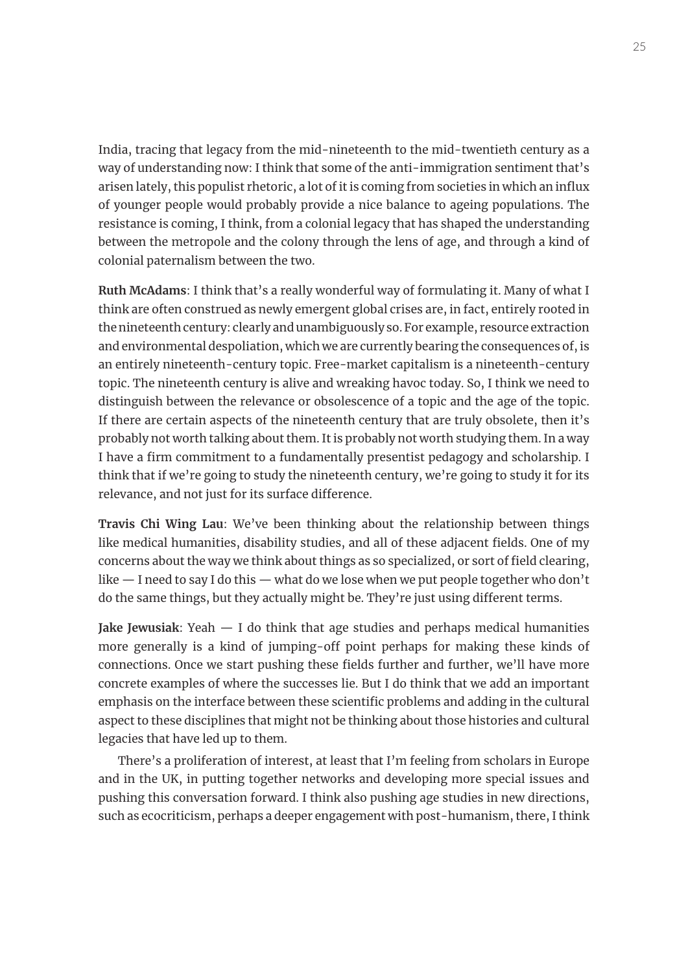India, tracing that legacy from the mid-nineteenth to the mid-twentieth century as a way of understanding now: I think that some of the anti-immigration sentiment that's arisen lately, this populist rhetoric, a lot of it is coming from societies in which an influx of younger people would probably provide a nice balance to ageing populations. The resistance is coming, I think, from a colonial legacy that has shaped the understanding between the metropole and the colony through the lens of age, and through a kind of colonial paternalism between the two.

**Ruth McAdams**: I think that's a really wonderful way of formulating it. Many of what I think are often construed as newly emergent global crises are, in fact, entirely rooted in the nineteenth century: clearly and unambiguously so. For example, resource extraction and environmental despoliation, which we are currently bearing the consequences of, is an entirely nineteenth-century topic. Free-market capitalism is a nineteenth-century topic. The nineteenth century is alive and wreaking havoc today. So, I think we need to distinguish between the relevance or obsolescence of a topic and the age of the topic. If there are certain aspects of the nineteenth century that are truly obsolete, then it's probably not worth talking about them. It is probably not worth studying them. In a way I have a firm commitment to a fundamentally presentist pedagogy and scholarship. I think that if we're going to study the nineteenth century, we're going to study it for its relevance, and not just for its surface difference.

**Travis Chi Wing Lau**: We've been thinking about the relationship between things like medical humanities, disability studies, and all of these adjacent fields. One of my concerns about the way we think about things as so specialized, or sort of field clearing, like — I need to say I do this — what do we lose when we put people together who don't do the same things, but they actually might be. They're just using different terms.

**Jake Jewusiak**: Yeah — I do think that age studies and perhaps medical humanities more generally is a kind of jumping-off point perhaps for making these kinds of connections. Once we start pushing these fields further and further, we'll have more concrete examples of where the successes lie. But I do think that we add an important emphasis on the interface between these scientific problems and adding in the cultural aspect to these disciplines that might not be thinking about those histories and cultural legacies that have led up to them.

There's a proliferation of interest, at least that I'm feeling from scholars in Europe and in the UK, in putting together networks and developing more special issues and pushing this conversation forward. I think also pushing age studies in new directions, such as ecocriticism, perhaps a deeper engagement with post-humanism, there, I think